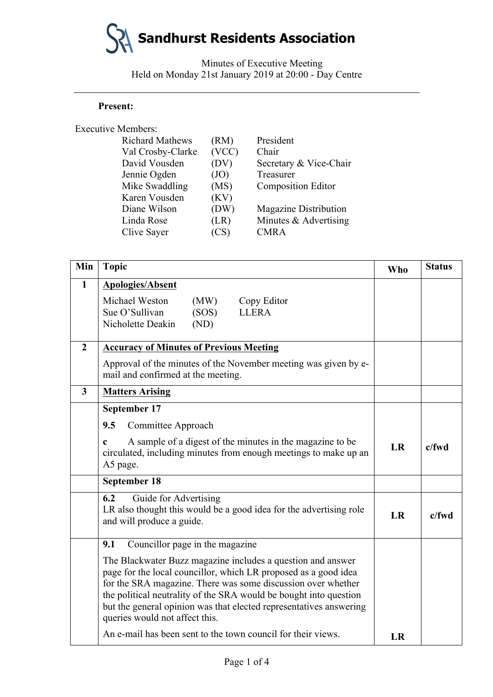# **Sandhurst Residents Association**

Minutes of Executive Meeting Held on Monday 21st January 2019 at 20:00 - Day Centre

### **Present:**

#### Executive Members:

| (RM)  | President                    |
|-------|------------------------------|
| (VCC) | Chair                        |
| (DV)  | Secretary & Vice-Chair       |
| (JO)  | Treasurer                    |
| (MS)  | <b>Composition Editor</b>    |
| (KV)  |                              |
| (DW)  | <b>Magazine Distribution</b> |
| (LR)  | Minutes & Advertising        |
| (CS)  | <b>CMRA</b>                  |
|       |                              |

| Min            | <b>Topic</b>                                                                                                                                                                                                                                                                                                                                                                | <b>Who</b> | <b>Status</b> |
|----------------|-----------------------------------------------------------------------------------------------------------------------------------------------------------------------------------------------------------------------------------------------------------------------------------------------------------------------------------------------------------------------------|------------|---------------|
| $\mathbf{1}$   | <b>Apologies/Absent</b>                                                                                                                                                                                                                                                                                                                                                     |            |               |
|                | Michael Weston<br>(MW)<br>Copy Editor<br>Sue O'Sullivan<br><b>LLERA</b><br>(SOS)<br>Nicholette Deakin<br>(ND)                                                                                                                                                                                                                                                               |            |               |
| $\overline{2}$ | <b>Accuracy of Minutes of Previous Meeting</b>                                                                                                                                                                                                                                                                                                                              |            |               |
|                | Approval of the minutes of the November meeting was given by e-<br>mail and confirmed at the meeting.                                                                                                                                                                                                                                                                       |            |               |
| $\mathbf{3}$   | <b>Matters Arising</b>                                                                                                                                                                                                                                                                                                                                                      |            |               |
|                | September 17                                                                                                                                                                                                                                                                                                                                                                |            |               |
|                | 9.5<br>Committee Approach                                                                                                                                                                                                                                                                                                                                                   |            |               |
|                | A sample of a digest of the minutes in the magazine to be<br>$\mathbf c$<br>circulated, including minutes from enough meetings to make up an<br>A5 page.                                                                                                                                                                                                                    | LR         | c/fwd         |
|                | September 18                                                                                                                                                                                                                                                                                                                                                                |            |               |
|                | 6.2<br>Guide for Advertising<br>LR also thought this would be a good idea for the advertising role<br>and will produce a guide.                                                                                                                                                                                                                                             | LR         | $c$ /fwd      |
|                | Councillor page in the magazine<br>9.1                                                                                                                                                                                                                                                                                                                                      |            |               |
|                | The Blackwater Buzz magazine includes a question and answer<br>page for the local councillor, which LR proposed as a good idea<br>for the SRA magazine. There was some discussion over whether<br>the political neutrality of the SRA would be bought into question<br>but the general opinion was that elected representatives answering<br>queries would not affect this. |            |               |
|                | An e-mail has been sent to the town council for their views.                                                                                                                                                                                                                                                                                                                | LR         |               |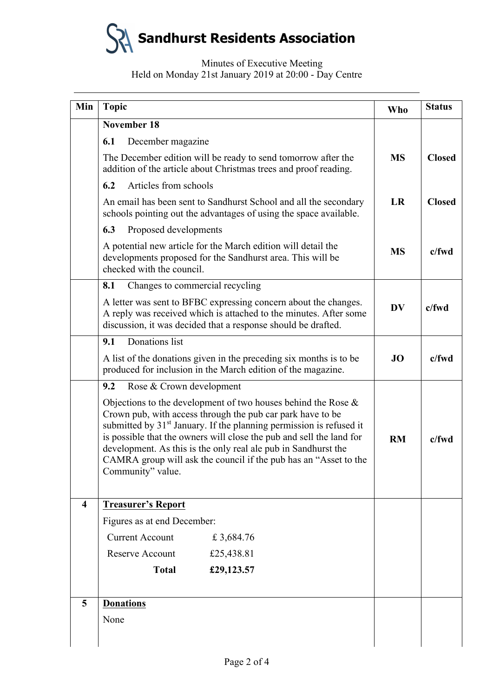

## Minutes of Executive Meeting Held on Monday 21st January 2019 at 20:00 - Day Centre

| Min                     | <b>Topic</b>                                                                                                                                                                                                                                                                                                                                                                                                                                         | Who       | <b>Status</b> |
|-------------------------|------------------------------------------------------------------------------------------------------------------------------------------------------------------------------------------------------------------------------------------------------------------------------------------------------------------------------------------------------------------------------------------------------------------------------------------------------|-----------|---------------|
|                         | November 18                                                                                                                                                                                                                                                                                                                                                                                                                                          |           |               |
|                         | December magazine<br>6.1                                                                                                                                                                                                                                                                                                                                                                                                                             |           |               |
|                         | The December edition will be ready to send tomorrow after the<br>addition of the article about Christmas trees and proof reading.                                                                                                                                                                                                                                                                                                                    | <b>MS</b> | <b>Closed</b> |
|                         | Articles from schools<br>6.2                                                                                                                                                                                                                                                                                                                                                                                                                         |           |               |
|                         | An email has been sent to Sandhurst School and all the secondary<br>schools pointing out the advantages of using the space available.                                                                                                                                                                                                                                                                                                                | <b>LR</b> | <b>Closed</b> |
|                         | 6.3<br>Proposed developments                                                                                                                                                                                                                                                                                                                                                                                                                         |           |               |
|                         | A potential new article for the March edition will detail the<br>developments proposed for the Sandhurst area. This will be<br>checked with the council.                                                                                                                                                                                                                                                                                             | <b>MS</b> | c/fwd         |
|                         | Changes to commercial recycling<br>8.1                                                                                                                                                                                                                                                                                                                                                                                                               |           |               |
|                         | A letter was sent to BFBC expressing concern about the changes.<br>A reply was received which is attached to the minutes. After some<br>discussion, it was decided that a response should be drafted.                                                                                                                                                                                                                                                | <b>DV</b> | $c$ /fwd      |
|                         | Donations list<br>9.1                                                                                                                                                                                                                                                                                                                                                                                                                                |           |               |
|                         | A list of the donations given in the preceding six months is to be<br>produced for inclusion in the March edition of the magazine.                                                                                                                                                                                                                                                                                                                   | JO        | $c$ /fwd      |
|                         | Rose & Crown development<br>9.2                                                                                                                                                                                                                                                                                                                                                                                                                      |           |               |
|                         | Objections to the development of two houses behind the Rose $\&$<br>Crown pub, with access through the pub car park have to be<br>submitted by 31 <sup>st</sup> January. If the planning permission is refused it<br>is possible that the owners will close the pub and sell the land for<br>development. As this is the only real ale pub in Sandhurst the<br>CAMRA group will ask the council if the pub has an "Asset to the<br>Community" value. |           | $c$ /fwd      |
| $\overline{\mathbf{4}}$ | <b>Treasurer's Report</b>                                                                                                                                                                                                                                                                                                                                                                                                                            |           |               |
|                         | Figures as at end December:                                                                                                                                                                                                                                                                                                                                                                                                                          |           |               |
|                         | <b>Current Account</b><br>£3,684.76                                                                                                                                                                                                                                                                                                                                                                                                                  |           |               |
|                         | <b>Reserve Account</b><br>£25,438.81                                                                                                                                                                                                                                                                                                                                                                                                                 |           |               |
|                         | <b>Total</b><br>£29,123.57                                                                                                                                                                                                                                                                                                                                                                                                                           |           |               |
| 5                       | <b>Donations</b>                                                                                                                                                                                                                                                                                                                                                                                                                                     |           |               |
|                         | None                                                                                                                                                                                                                                                                                                                                                                                                                                                 |           |               |
|                         |                                                                                                                                                                                                                                                                                                                                                                                                                                                      |           |               |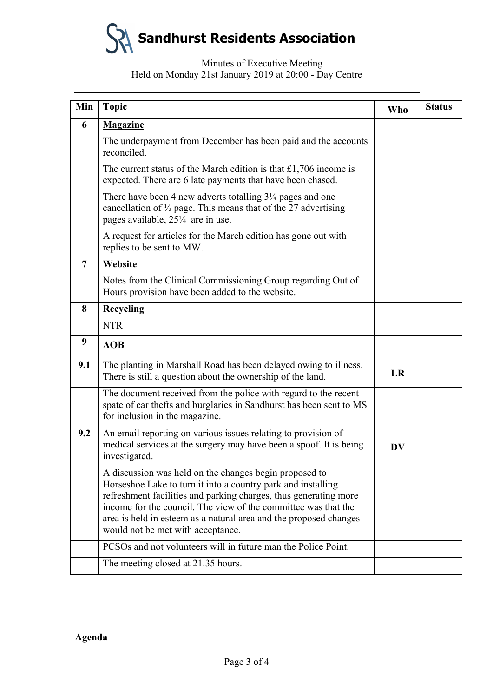**Sandhurst Residents Association**

## Minutes of Executive Meeting Held on Monday 21st January 2019 at 20:00 - Day Centre

| Min            | <b>Topic</b>                                                                                                                                                                                                                                                                                                                                                           | <b>Who</b> | <b>Status</b> |
|----------------|------------------------------------------------------------------------------------------------------------------------------------------------------------------------------------------------------------------------------------------------------------------------------------------------------------------------------------------------------------------------|------------|---------------|
| 6              | <b>Magazine</b>                                                                                                                                                                                                                                                                                                                                                        |            |               |
|                | The underpayment from December has been paid and the accounts<br>reconciled.                                                                                                                                                                                                                                                                                           |            |               |
|                | The current status of the March edition is that $£1,706$ income is<br>expected. There are 6 late payments that have been chased.                                                                                                                                                                                                                                       |            |               |
|                | There have been 4 new adverts totalling $3\frac{1}{4}$ pages and one<br>cancellation of $\frac{1}{2}$ page. This means that of the 27 advertising<br>pages available, $25\frac{1}{4}$ are in use.                                                                                                                                                                      |            |               |
|                | A request for articles for the March edition has gone out with<br>replies to be sent to MW.                                                                                                                                                                                                                                                                            |            |               |
| $\overline{7}$ | Website                                                                                                                                                                                                                                                                                                                                                                |            |               |
|                | Notes from the Clinical Commissioning Group regarding Out of<br>Hours provision have been added to the website.                                                                                                                                                                                                                                                        |            |               |
| 8              | <b>Recycling</b>                                                                                                                                                                                                                                                                                                                                                       |            |               |
|                | <b>NTR</b>                                                                                                                                                                                                                                                                                                                                                             |            |               |
| 9              | <b>AOB</b>                                                                                                                                                                                                                                                                                                                                                             |            |               |
| 9.1            | The planting in Marshall Road has been delayed owing to illness.<br>There is still a question about the ownership of the land.                                                                                                                                                                                                                                         | LR         |               |
|                | The document received from the police with regard to the recent<br>spate of car thefts and burglaries in Sandhurst has been sent to MS<br>for inclusion in the magazine.                                                                                                                                                                                               |            |               |
| 9.2            | An email reporting on various issues relating to provision of<br>medical services at the surgery may have been a spoof. It is being<br>investigated.                                                                                                                                                                                                                   | DV         |               |
|                | A discussion was held on the changes begin proposed to<br>Horseshoe Lake to turn it into a country park and installing<br>refreshment facilities and parking charges, thus generating more<br>income for the council. The view of the committee was that the<br>area is held in esteem as a natural area and the proposed changes<br>would not be met with acceptance. |            |               |
|                | PCSO <sub>s</sub> and not volunteers will in future man the Police Point.                                                                                                                                                                                                                                                                                              |            |               |
|                | The meeting closed at 21.35 hours.                                                                                                                                                                                                                                                                                                                                     |            |               |